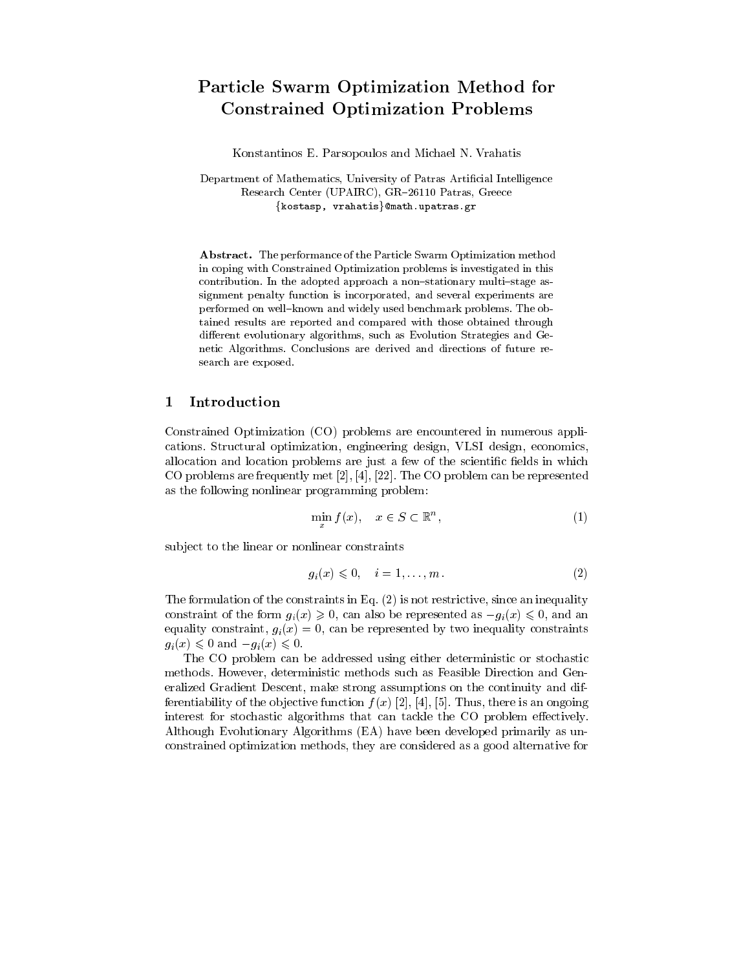# Particle Swarm Optimization Method for Constrained Optimization Problems

Konstantinos E. Parsopoulos and Michael N. Vrahatis

Department of Mathematics, University of Patras Artificial Intelligence Research Center (UPAIRC), GR-26110 Patras, Greece  $\{kostasp, vrahatis\}$ @math.upatras.gr

Abstract. The performance of the Particle Swarm Optimization method in coping with Constrained Optimization problems is investigated in this contribution. In the adopted approach a non-stationary multi-stage assignment penalty function is incorporated, and several experiments are performed on well-known and widely used benchmark problems. The obtained results are reported and compared with those obtained through different evolutionary algorithms, such as Evolution Strategies and Genetic Algorithms. Conclusions are derived and directions of future re search are exposed.

#### $\mathbf{1}$ **Introduction**

Constrained Optimization (CO) problems are encountered in numerous applications. Structural optimization, engineering design, VLSI design, economics, allocation and location problems are just a few of the scientific fields in which CO problems are frequently met [2], [4], [22]. The CO problem can be represented as the following nonlinear programming problem:

$$
\min_{x} f(x), \quad x \in S \subset \mathbb{R}^n,\tag{1}
$$

sub ject to the linear or nonlinear constraints

$$
g_i(x) \leqslant 0, \quad i = 1, \dots, m \tag{2}
$$

The formulation of the constraints in Eq. (2) is not restrictive, since an inequality constraint of the form  $g_i(x) \geq 0$ , can also be represented as  $-g_i(x) \leq 0$ , and an equality constraint,  $g_i(x) = 0$ , can be represented by two inequality constraints  $g_i(x) \leq 0$  and  $-g_i(x) \leq 0$ .

The CO problem can be addressed using either deterministic or stochastic methods. However, deterministic methods such as Feasible Direction and Generalized Gradient Descent, make strong assumptions on the continuity and differentiability of the objective function  $f(x)$  [2], [4], [5]. Thus, there is an ongoing interest for stochastic algorithms that can tackle the CO problem effectively. Although Evolutionary Algorithms (EA) have been developed primarily as unconstrained optimization methods, they are considered as a good alternative for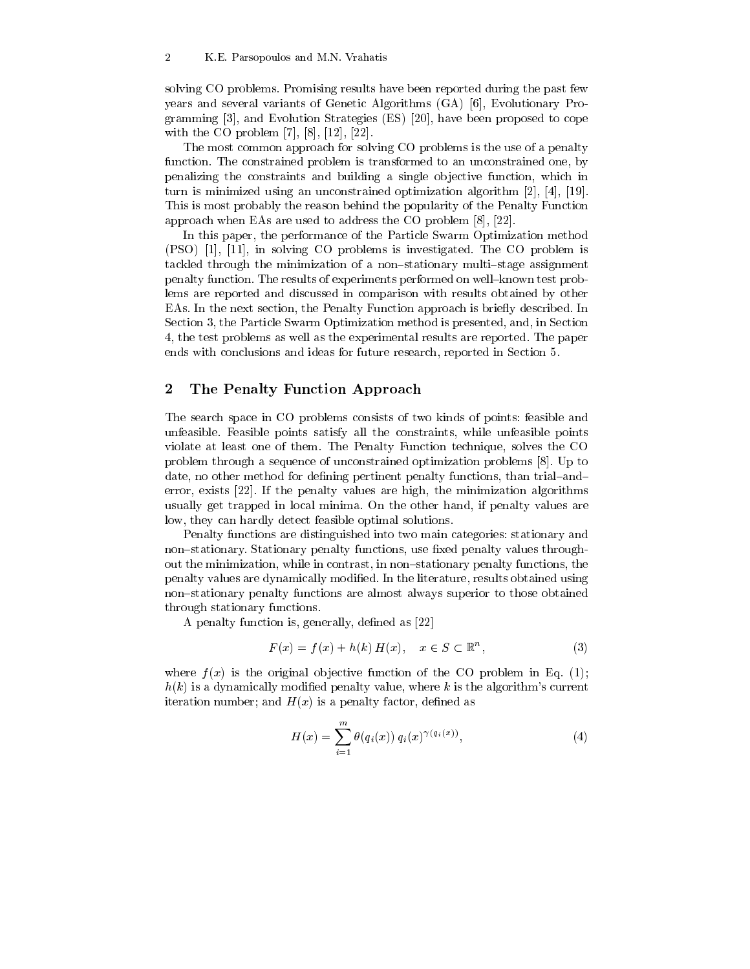solving CO problems. Promising results have been reported during the past few years and several variants of Genetic Algorithms (GA) [6], Evolutionary Programming [3], and Evolution Strategies (ES) [20], have been proposed to cope with the CO problem [7], [8], [12], [22].

The most common approach for solving CO problems is the use of a penalty function. The constrained problem is transformed to an unconstrained one, by penalizing the constraints and building a single ob jective function, which in turn is minimized using an unconstrained optimization algorithm [2], [4], [19]. This is most probably the reason behind the popularity of the Penalty Function approach when EAs are used to address the CO problem [8], [22].

In this paper, the performance of the Particle Swarm Optimization method (PSO) [1], [11], in solving CO problems is investigated. The CO problem is tackled through the minimization of a non-stationary multi-stage assignment penalty function. The results of experiments performed on well-known test problems are reported and discussed in comparison with results obtained by other EAs. In the next section, the Penalty Function approach is briefly described. In Section 3, the Particle Swarm Optimization method is presented, and, in Section 4, the test problems as well as the experimental results are reported. The paper ends with conclusions and ideas for future research, reported in Section 5.

## 2 The Penalty Function Approach

The search space in CO problems consists of two kinds of points: feasible and unfeasible. Feasible points satisfy all the constraints, while unfeasible points violate at least one of them. The Penalty Function technique, solves the CO problem through a sequence of unconstrained optimization problems [8]. Up to date, no other method for defining pertinent penalty functions, than trial-anderror, exists [22]. If the penalty values are high, the minimization algorithms usually get trapped in local minima. On the other hand, if penalty values are low, they can hardly detect feasible optimal solutions.

Penalty functions are distinguished into two main categories: stationary and non-stationary. Stationary penalty functions, use fixed penalty values throughout the minimization, while in contrast, in non-stationary penalty functions, the penalty values are dynamically modied. In the literature, results obtained using non-stationary penalty functions are almost always superior to those obtained through stationary functions.

A penalty function is, generally, defined as  $[22]$ 

$$
F(x) = f(x) + h(k) H(x), \quad x \in S \subset \mathbb{R}^n,
$$
\n<sup>(3)</sup>

where  $f(x)$  is the original objective function of the CO problem in Eq. (1);  $h(k)$  is a dynamically modified penalty value, where k is the algorithm's current iteration number; and  $H(x)$  is a penalty factor, defined as

$$
H(x) = \sum_{i=1}^{m} \theta(q_i(x)) q_i(x)^{\gamma(q_i(x))},
$$
\n(4)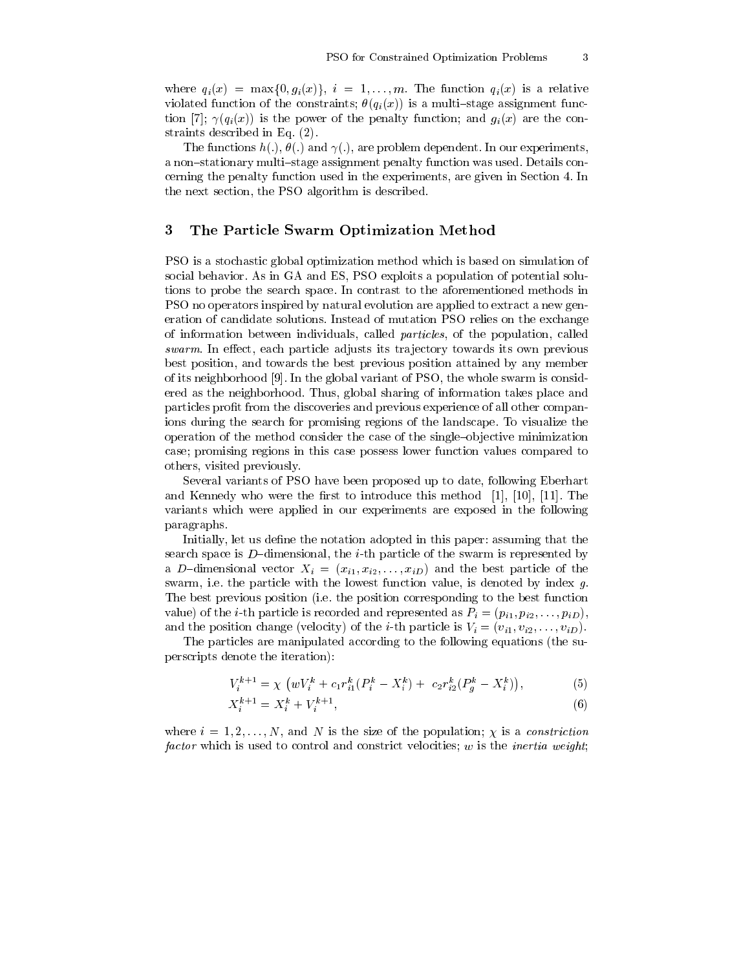where  $q_i(x) = \max\{0, g_i(x)\}\$ ,  $i = 1, \ldots, m$ . The function  $q_i(x)$  is a relative violated function of the constraints;  $\theta(q_i(x))$  is a multi-stage assignment function [7];  $\gamma(q_i(x))$  is the power of the penalty function; and  $g_i(x)$  are the constraints described in Eq. (2).

The functions  $h(.)$ ,  $\theta(.)$  and  $\gamma(.)$ , are problem dependent. In our experiments, a non-stationary multi-stage assignment penalty function was used. Details concerning the penalty function used in the experiments, are given in Section 4. In the next section, the PSO algorithm is described.

#### 3 3 The Particle Swarm Optimization Method

PSO is a stochastic global optimization method which is based on simulation of social behavior. As in GA and ES, PSO exploits a population of potential solutions to probe the search space. In contrast to the aforementioned methods in PSO no operators inspired by natural evolution are applied to extract a new generation of candidate solutions. Instead of mutation PSO relies on the exchange of information between individuals, called particles, of the population, called  $swarm$ . In effect, each particle adjusts its trajectory towards its own previous best position, and towards the best previous position attained by any member of its neighborhood [9]. In the global variant of PSO, the whole swarm is considered as the neighborhood. Thus, global sharing of information takes place and particles prot from the discoveries and previous experience of all other companions during the search for promising regions of the landscape. To visualize the operation of the method consider the case of the single-objective minimization case; promising regions in this case possess lower function values compared to others, visited previously.

Several variants of PSO have been proposed up to date, following Eberhart and Kennedy who were the first to introduce this method  $[1]$ ,  $[10]$ ,  $[11]$ . The variants which were applied in our experiments are exposed in the following paragraphs.

Initially, let us define the notation adopted in this paper: assuming that the search space is  $D$ -dimensional, the *i*-th particle of the swarm is represented by a D-dimensional vector  $X_i = (x_{i1}, x_{i2},...,x_{iD})$  and the best particle of the swarm, i.e. the particle with the lowest function value, is denoted by index g. The best previous position (i.e. the position corresponding to the best function value) of the *i*-th particle is recorded and represented as  $P_i = (p_{i1}, p_{i2}, \ldots, p_{iD}),$ and the position change (velocity) of the *i*-th particle is  $V_i = (v_{i1}, v_{i2}, \ldots, v_{iD}).$ 

The particles are manipulated according to the following equations (the superscripts denote the iteration):

$$
V_i^{k+1} = \chi \left( w V_i^k + c_1 r_{i1}^k (P_i^k - X_i^k) + c_2 r_{i2}^k (P_g^k - X_i^k) \right), \tag{5}
$$

$$
X_i^{k+1} = X_i^k + V_i^{k+1},\tag{6}
$$

where  $i = 1, 2, \ldots, N$ , and N is the size of the population;  $\chi$  is a constriction factor which is used to control and constrict velocities;  $w$  is the *inertia weight*;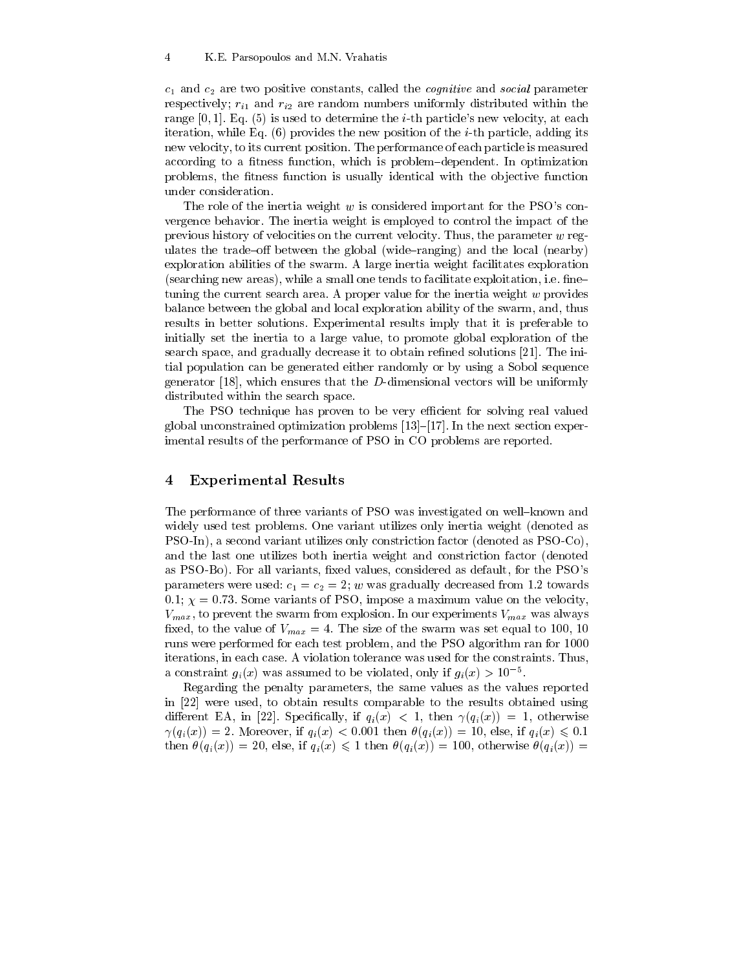$c_1$  and  $c_2$  are two positive constants, called the *cognitive* and *social* parameter respectively;  $r_{i1}$  and  $r_{i2}$  are random numbers uniformly distributed within the range  $[0, 1]$ . Eq.  $(5)$  is used to determine the *i*-th particle's new velocity, at each iteration, while Eq.  $(6)$  provides the new position of the *i*-th particle, adding its new velocity, to its current position. The performance of each particle is measured according to a fitness function, which is problem-dependent. In optimization problems, the fitness function is usually identical with the objective function under consideration.

The role of the inertia weight w is considered important for the PSO's convergence behavior. The inertia weight is employed to control the impact of the previous history of velocities on the current velocity. Thus, the parameter  $w$  regulates the trade-off between the global (wide-ranging) and the local (nearby) exploration abilities of the swarm. A large inertia weight facilitates exploration  $(searching new areas)$ , while a small one tends to facilitate exploitation, i.e. fine tuning the current search area. A proper value for the inertia weight  $w$  provides balance between the global and local exploration ability of the swarm, and, thus results in better solutions. Experimental results imply that it is preferable to initially set the inertia to a large value, to promote global exploration of the search space, and gradually decrease it to obtain refined solutions [21]. The initial population can be generated either randomly or by using a Sobol sequence generator [18], which ensures that the  $D$ -dimensional vectors will be uniformly distributed within the search space.

The PSO technique has proven to be very efficient for solving real valued global unconstrained optimization problems  $[13]$ - $[17]$ . In the next section experimental results of the performance of PSO in CO problems are reported.

### 4 Experimental Results

The performance of three variants of PSO was investigated on well-known and widely used test problems. One variant utilizes only inertia weight (denoted as PSO-In), a second variant utilizes only constriction factor (denoted as PSO-Co), and the last one utilizes both inertia weight and constriction factor (denoted as PSO-Bo). For all variants, fixed values, considered as default, for the PSO's parameters were used:  $c_1 = c_2 = 2$ ; w was gradually decreased from 1.2 towards 0.1;  $\chi = 0.73$ . Some variants of PSO, impose a maximum value on the velocity,  $V_{max}$ , to prevent the swarm from explosion. In our experiments  $V_{max}$  was always fixed, to the value of  $V_{max} = 4$ . The size of the swarm was set equal to 100, 10 runs were performed for each test problem, and the PSO algorithm ran for 1000 iterations, in each case. A violation tolerance was used for the constraints. Thus, a constraint  $g_i(x)$  was assumed to be violated, only if  $g_i(x) > 10$  .

Regarding the penalty parameters, the same values as the values reported in [22] were used, to obtain results comparable to the results obtained using different EA, in [22]. Specifically, if  $q_i(x) < 1$ , then  $\gamma(q_i(x)) = 1$ , otherwise  $\gamma(q_i(x)) = 2$ . Moreover, if  $q_i(x) < 0.001$  then  $\theta(q_i(x)) = 10$ , else, if  $q_i(x) \leq 0.1$ then  $\theta(q_i(x)) = 20$ , else, if  $q_i(x) \leq 1$  then  $\theta(q_i(x)) = 100$ , otherwise  $\theta(q_i(x)) =$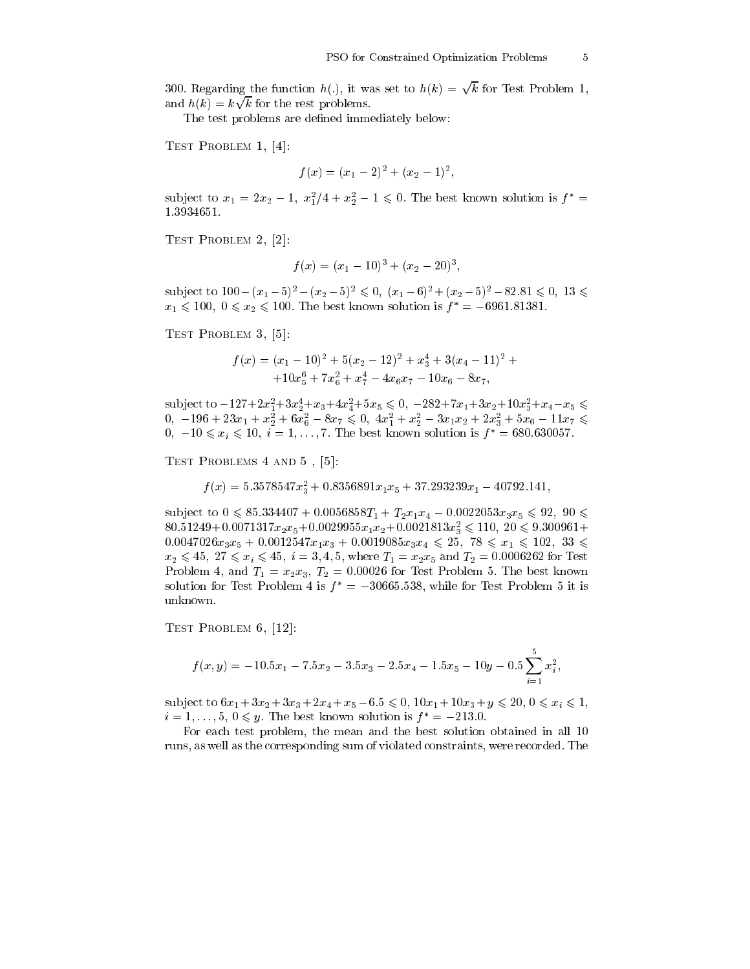,

300. Regarding the function  $h(.)$ , it was set to  $h(k) = \sqrt{k}$  for Test Problem 1, and  $h(k) = k\sqrt{k}$  for the rest problems.

The test problems are defined immediately below:

Test Problem 1, [4]:

$$
f(x) = (x_1 - 2)^2 + (x_2 - 1)^2,
$$

subject to  $x_1 = 2x_2 - 1$ ,  $x_1^2/4 + x_2^2 - 1 \le 0$ . The best known solution is  $f =$ 1:3934651.

Test Problem 2, [2]:

$$
f(x) = (x_1 - 10)^3 + (x_2 - 20)^3
$$

subject to  $100-(x_1-5)^2-(x_2-5)^2 \leq 0$ ,  $(x_1-6)^2+(x_2-5)^2-82.81 \leq 0$ ,  $13 \leq$  $x_1 \le 100, 0 \le x_2 \le 100$ . The best known solution is  $f^* = -6961.81381$ .

Test Problem 3, [5]:

$$
f(x) = (x_1 - 10)^2 + 5(x_2 - 12)^2 + x_3^4 + 3(x_4 - 11)^2 +
$$
  
+10x\_5^6 + 7x\_6^2 + x\_7^4 - 4x\_6x\_7 - 10x\_6 - 8x\_7,

subject to  $-127 + 2x_1 + 3x_2 + x_3 + 4x_4 + 3x_5 \le 0$ ,  $-282 + 7x_1 + 3x_2 + 10x_3 + x_4 - x_5 \le 0$  $0, -190 + 25x_1 + x_2 + 0x_6 - 8x_7 \leq 0, 4x_1 + x_2 - 3x_1x_2 + 2x_3 + 3x_6 - 11x_7 \leq$  $0, -10 \leq x_i \leq 10, i = 1,..., 7$ . The best known solution is  $f^* = 680.630057$ .

Test Problems 4 and 5 , [5]:

 $f(x) = 5.3578547x_3 + 0.8356891x_1x_5 + 37.293239x_1 - 40792.141$ ,

subject to  $0 \le 85.334407 + 0.0056858T_1 + T_2x_1x_4 - 0.0022053x_3x_5 \le 92$ ,  $90 \le$  $80.31249 + 0.0071317x_2x_5 + 0.0029933x_1x_2 + 0.0021813x_3 \le 110, 20 \le 9.300901 +$  $0.0047026x_3x_5 + 0.0012547x_1x_3 + 0.0019085x_3x_4 \leq 25$ ,  $78 \leq x_1 \leq 102$ ,  $33 \leq$  $x_2 \le 45$ ,  $27 \le x_i \le 45$ ,  $i = 3, 4, 5$ , where  $T_1 = x_2x_5$  and  $T_2 = 0.0006262$  for Test Problem 4, and  $T_1 = x_2x_3$ ,  $T_2 = 0.00026$  for Test Problem 5. The best known solution for Test Problem 4 is  $f^* = -30665.538$ , while for Test Problem 5 it is unknown.

Test Problem 6, [12]:

$$
f(x,y)=-10.5x_1-7.5x_2-3.5x_3-2.5x_4-1.5x_5-10y-0.5\sum_{i=1}^5x_i^2,
$$

subject to  $6x_1 + 3x_2 + 3x_3 + 2x_4 + x_5 - 6.5 \leq 0$ ,  $10x_1 + 10x_3 + y \leq 20$ ,  $0 \leq x_i \leq 1$ ,  $i = 1, \ldots, 5, 0 \leq y$ . The best known solution is  $f = -215.0$ .

For each test problem, the mean and the best solution obtained in all 10 runs, as well as the corresponding sum of violated constraints, were recorded. The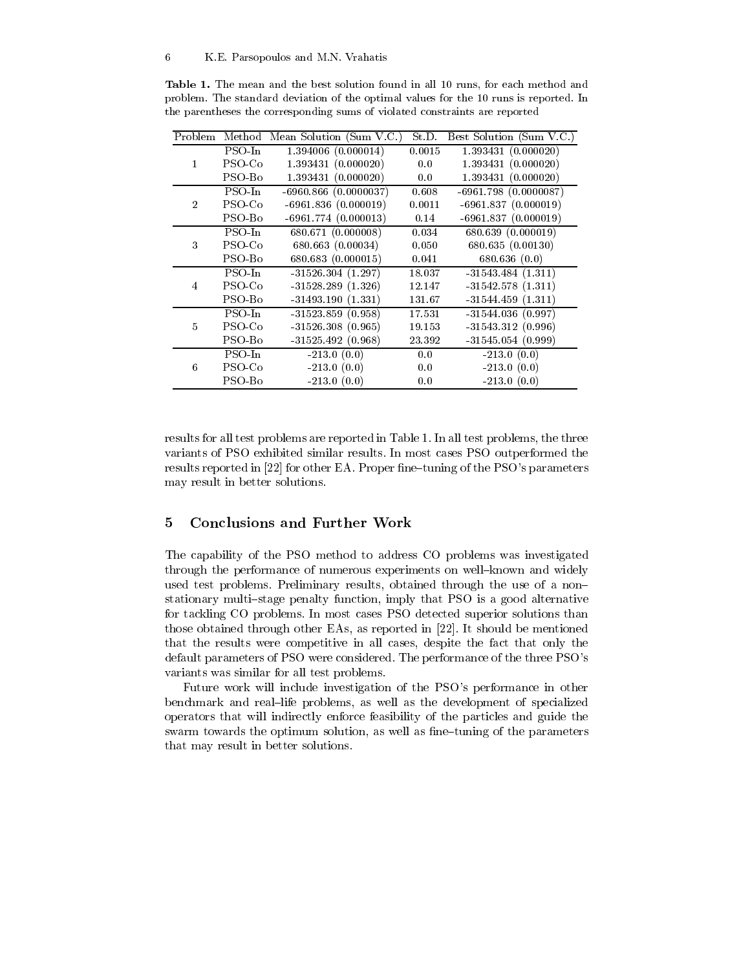|              |           | Problem Method Mean Solution (Sum V.C.) St.D. Best Solution (Sum V.C.) |        |                        |
|--------------|-----------|------------------------------------------------------------------------|--------|------------------------|
| $\mathbf{1}$ | PSO-In    | 1.394006(0.000014)                                                     | 0.0015 | 1.393431(0.000020)     |
|              | PSO Co    | 1.393431(0.000020)                                                     | 0.0    | 1.393431(0.000020)     |
|              | PSO-Bo    | 1.393431(0.000020)                                                     | 0.0    | 1.393431(0.000020)     |
| $2^{\circ}$  | PSO-In    | $-6960.866(0.0000037)$                                                 | 0.608  | $-6961.798(0.0000087)$ |
|              | $PSO$ -Co | $-6961.836(0.000019)$                                                  | 0.0011 | $-6961.837(0.000019)$  |
|              | PSO-Bo    | $-6961.774(0.000013)$                                                  | 0.14   | $-6961.837(0.000019)$  |
| 3            | $PSO-In$  | 680.671 (0.000008)                                                     | 0.034  | 680.639 (0.000019)     |
|              | PSO-Co    | 680.663(0.00034)                                                       | 0.050  | 680.635 (0.00130)      |
|              | PSO-Bo    | 680.683 (0.000015)                                                     | 0.041  | 680.636(0.0)           |
| 4            | PSO-In    | $-31526.304(1.297)$                                                    | 18.037 | $-31543.484(1.311)$    |
|              | PSO-Co    | $-31528.289(1.326)$                                                    | 12.147 | $-31542.578(1.311)$    |
|              | PSO-Bo    | $-31493.190(1.331)$                                                    | 131.67 | $-31544.459(1.311)$    |
| 5            | $PSO-In$  | $-31523.859(0.958)$                                                    | 17.531 | $-31544.036(0.997)$    |
|              | PSO Co    | $-31526.308(0.965)$                                                    | 19.153 | $-31543.312(0.996)$    |
|              | PSO-Bo    | $-31525.492(0.968)$                                                    | 23.392 | $-31545.054(0.999)$    |
| 6            | PSO-In    | $-213.0(0.0)$                                                          | 0.0    | $-213.0(0.0)$          |
|              | PSO-Co    | $-213.0(0.0)$                                                          | 0.0    | $-213.0(0.0)$          |
|              | PSO-Bo    | $-213.0(0.0)$                                                          | 0.0    | $-213.0(0.0)$          |

Table 1. The mean and the best solution found in all 10 runs, for each method and problem. The standard deviation of the optimal values for the 10 runs is reported. In the parentheses the corresponding sums of violated constraints are reported

results for all test problems are reported in Table 1. In all test problems, the three variants of PSO exhibited similar results. In most cases PSO outperformed the results reported in  $[22]$  for other EA. Proper fine-tuning of the PSO's parameters may result in better solutions.

#### $\overline{5}$ 5 Conclusions and Further Work

The capability of the PSO method to address CO problems was investigated through the performance of numerous experiments on well-known and widely used test problems. Preliminary results, obtained through the use of a nonstationary multi-stage penalty function, imply that PSO is a good alternative for tackling CO problems. In most cases PSO detected superior solutions than those obtained through other EAs, as reported in [22]. It should be mentioned that the results were competitive in all cases, despite the fact that only the default parameters of PSO were considered. The performance of the three PSO's variants was similar for all test problems.

Future work will include investigation of the PSO's performance in other benchmark and real-life problems, as well as the development of specialized operators that will indirectly enforce feasibility of the particles and guide the swarm towards the optimum solution, as well as fine-tuning of the parameters that may result in better solutions.